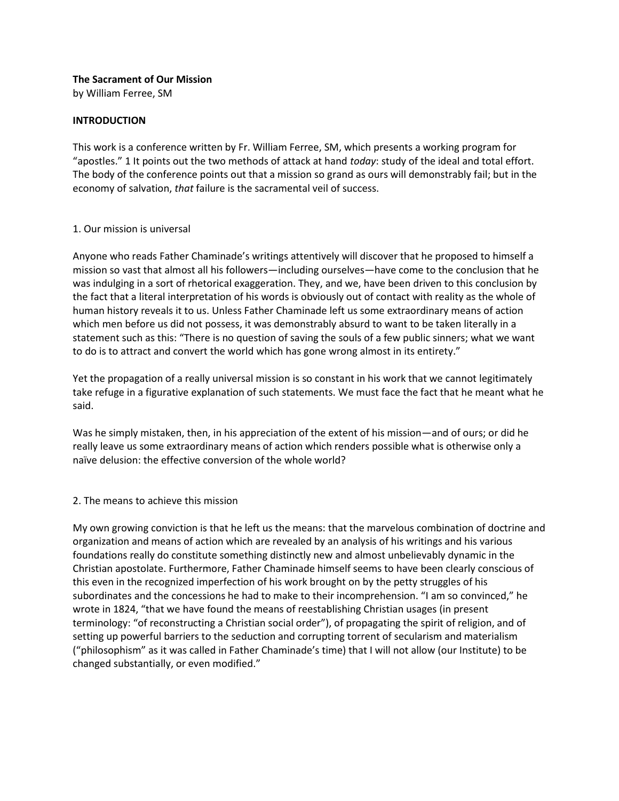# **The Sacrament of Our Mission**

by William Ferree, SM

#### **INTRODUCTION**

This work is a conference written by Fr. William Ferree, SM, which presents a working program for "apostles." 1 It points out the two methods of attack at hand *today*: study of the ideal and total effort. The body of the conference points out that a mission so grand as ours will demonstrably fail; but in the economy of salvation, *that* failure is the sacramental veil of success.

#### 1. Our mission is universal

Anyone who reads Father Chaminade's writings attentively will discover that he proposed to himself a mission so vast that almost all his followers—including ourselves—have come to the conclusion that he was indulging in a sort of rhetorical exaggeration. They, and we, have been driven to this conclusion by the fact that a literal interpretation of his words is obviously out of contact with reality as the whole of human history reveals it to us. Unless Father Chaminade left us some extraordinary means of action which men before us did not possess, it was demonstrably absurd to want to be taken literally in a statement such as this: "There is no question of saving the souls of a few public sinners; what we want to do is to attract and convert the world which has gone wrong almost in its entirety."

Yet the propagation of a really universal mission is so constant in his work that we cannot legitimately take refuge in a figurative explanation of such statements. We must face the fact that he meant what he said.

Was he simply mistaken, then, in his appreciation of the extent of his mission—and of ours; or did he really leave us some extraordinary means of action which renders possible what is otherwise only a naïve delusion: the effective conversion of the whole world?

# 2. The means to achieve this mission

My own growing conviction is that he left us the means: that the marvelous combination of doctrine and organization and means of action which are revealed by an analysis of his writings and his various foundations really do constitute something distinctly new and almost unbelievably dynamic in the Christian apostolate. Furthermore, Father Chaminade himself seems to have been clearly conscious of this even in the recognized imperfection of his work brought on by the petty struggles of his subordinates and the concessions he had to make to their incomprehension. "I am so convinced," he wrote in 1824, "that we have found the means of reestablishing Christian usages (in present terminology: "of reconstructing a Christian social order"), of propagating the spirit of religion, and of setting up powerful barriers to the seduction and corrupting torrent of secularism and materialism ("philosophism" as it was called in Father Chaminade's time) that I will not allow (our Institute) to be changed substantially, or even modified."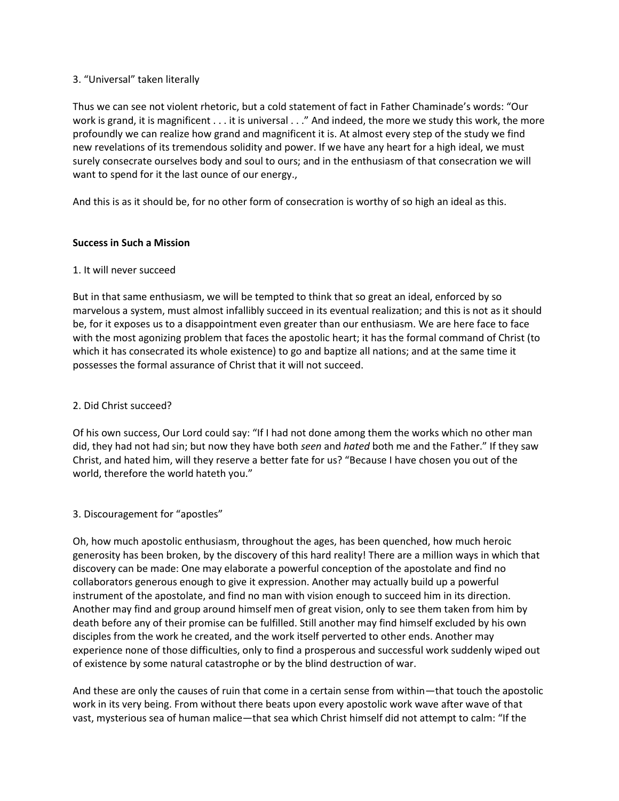# 3. "Universal" taken literally

Thus we can see not violent rhetoric, but a cold statement of fact in Father Chaminade's words: "Our work is grand, it is magnificent . . . it is universal . . ." And indeed, the more we study this work, the more profoundly we can realize how grand and magnificent it is. At almost every step of the study we find new revelations of its tremendous solidity and power. If we have any heart for a high ideal, we must surely consecrate ourselves body and soul to ours; and in the enthusiasm of that consecration we will want to spend for it the last ounce of our energy.,

And this is as it should be, for no other form of consecration is worthy of so high an ideal as this.

# **Success in Such a Mission**

#### 1. It will never succeed

But in that same enthusiasm, we will be tempted to think that so great an ideal, enforced by so marvelous a system, must almost infallibly succeed in its eventual realization; and this is not as it should be, for it exposes us to a disappointment even greater than our enthusiasm. We are here face to face with the most agonizing problem that faces the apostolic heart; it has the formal command of Christ (to which it has consecrated its whole existence) to go and baptize all nations; and at the same time it possesses the formal assurance of Christ that it will not succeed.

# 2. Did Christ succeed?

Of his own success, Our Lord could say: "If I had not done among them the works which no other man did, they had not had sin; but now they have both *seen* and *hated* both me and the Father." If they saw Christ, and hated him, will they reserve a better fate for us? "Because I have chosen you out of the world, therefore the world hateth you."

# 3. Discouragement for "apostles"

Oh, how much apostolic enthusiasm, throughout the ages, has been quenched, how much heroic generosity has been broken, by the discovery of this hard reality! There are a million ways in which that discovery can be made: One may elaborate a powerful conception of the apostolate and find no collaborators generous enough to give it expression. Another may actually build up a powerful instrument of the apostolate, and find no man with vision enough to succeed him in its direction. Another may find and group around himself men of great vision, only to see them taken from him by death before any of their promise can be fulfilled. Still another may find himself excluded by his own disciples from the work he created, and the work itself perverted to other ends. Another may experience none of those difficulties, only to find a prosperous and successful work suddenly wiped out of existence by some natural catastrophe or by the blind destruction of war.

And these are only the causes of ruin that come in a certain sense from within—that touch the apostolic work in its very being. From without there beats upon every apostolic work wave after wave of that vast, mysterious sea of human malice—that sea which Christ himself did not attempt to calm: "If the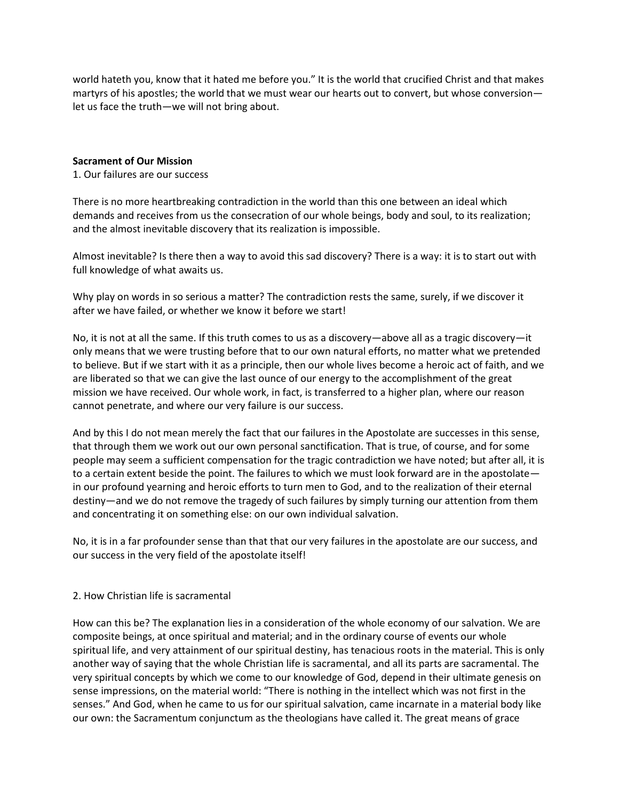world hateth you, know that it hated me before you." It is the world that crucified Christ and that makes martyrs of his apostles; the world that we must wear our hearts out to convert, but whose conversion let us face the truth—we will not bring about.

#### **Sacrament of Our Mission**

1. Our failures are our success

There is no more heartbreaking contradiction in the world than this one between an ideal which demands and receives from us the consecration of our whole beings, body and soul, to its realization; and the almost inevitable discovery that its realization is impossible.

Almost inevitable? Is there then a way to avoid this sad discovery? There is a way: it is to start out with full knowledge of what awaits us.

Why play on words in so serious a matter? The contradiction rests the same, surely, if we discover it after we have failed, or whether we know it before we start!

No, it is not at all the same. If this truth comes to us as a discovery—above all as a tragic discovery—it only means that we were trusting before that to our own natural efforts, no matter what we pretended to believe. But if we start with it as a principle, then our whole lives become a heroic act of faith, and we are liberated so that we can give the last ounce of our energy to the accomplishment of the great mission we have received. Our whole work, in fact, is transferred to a higher plan, where our reason cannot penetrate, and where our very failure is our success.

And by this I do not mean merely the fact that our failures in the Apostolate are successes in this sense, that through them we work out our own personal sanctification. That is true, of course, and for some people may seem a sufficient compensation for the tragic contradiction we have noted; but after all, it is to a certain extent beside the point. The failures to which we must look forward are in the apostolate in our profound yearning and heroic efforts to turn men to God, and to the realization of their eternal destiny—and we do not remove the tragedy of such failures by simply turning our attention from them and concentrating it on something else: on our own individual salvation.

No, it is in a far profounder sense than that that our very failures in the apostolate are our success, and our success in the very field of the apostolate itself!

# 2. How Christian life is sacramental

How can this be? The explanation lies in a consideration of the whole economy of our salvation. We are composite beings, at once spiritual and material; and in the ordinary course of events our whole spiritual life, and very attainment of our spiritual destiny, has tenacious roots in the material. This is only another way of saying that the whole Christian life is sacramental, and all its parts are sacramental. The very spiritual concepts by which we come to our knowledge of God, depend in their ultimate genesis on sense impressions, on the material world: "There is nothing in the intellect which was not first in the senses." And God, when he came to us for our spiritual salvation, came incarnate in a material body like our own: the Sacramentum conjunctum as the theologians have called it. The great means of grace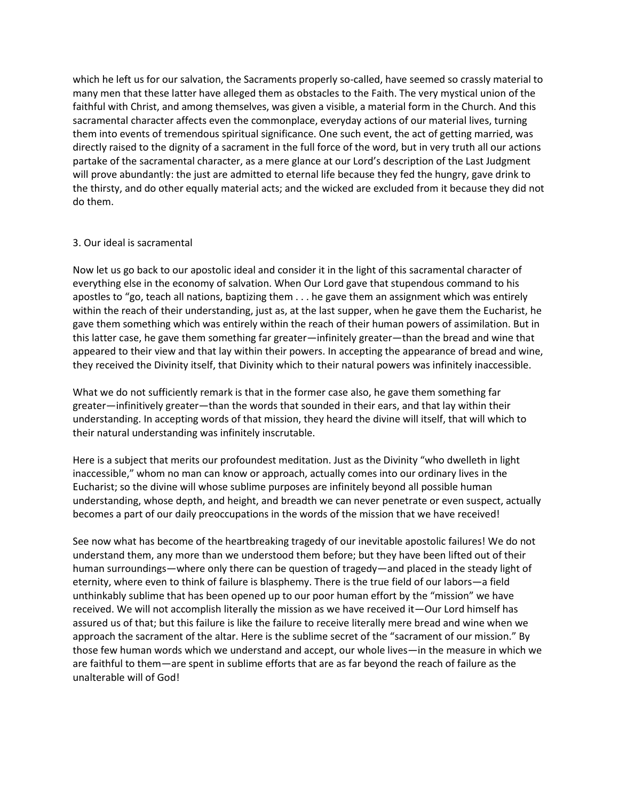which he left us for our salvation, the Sacraments properly so-called, have seemed so crassly material to many men that these latter have alleged them as obstacles to the Faith. The very mystical union of the faithful with Christ, and among themselves, was given a visible, a material form in the Church. And this sacramental character affects even the commonplace, everyday actions of our material lives, turning them into events of tremendous spiritual significance. One such event, the act of getting married, was directly raised to the dignity of a sacrament in the full force of the word, but in very truth all our actions partake of the sacramental character, as a mere glance at our Lord's description of the Last Judgment will prove abundantly: the just are admitted to eternal life because they fed the hungry, gave drink to the thirsty, and do other equally material acts; and the wicked are excluded from it because they did not do them.

#### 3. Our ideal is sacramental

Now let us go back to our apostolic ideal and consider it in the light of this sacramental character of everything else in the economy of salvation. When Our Lord gave that stupendous command to his apostles to "go, teach all nations, baptizing them . . . he gave them an assignment which was entirely within the reach of their understanding, just as, at the last supper, when he gave them the Eucharist, he gave them something which was entirely within the reach of their human powers of assimilation. But in this latter case, he gave them something far greater—infinitely greater—than the bread and wine that appeared to their view and that lay within their powers. In accepting the appearance of bread and wine, they received the Divinity itself, that Divinity which to their natural powers was infinitely inaccessible.

What we do not sufficiently remark is that in the former case also, he gave them something far greater—infinitively greater—than the words that sounded in their ears, and that lay within their understanding. In accepting words of that mission, they heard the divine will itself, that will which to their natural understanding was infinitely inscrutable.

Here is a subject that merits our profoundest meditation. Just as the Divinity "who dwelleth in light inaccessible," whom no man can know or approach, actually comes into our ordinary lives in the Eucharist; so the divine will whose sublime purposes are infinitely beyond all possible human understanding, whose depth, and height, and breadth we can never penetrate or even suspect, actually becomes a part of our daily preoccupations in the words of the mission that we have received!

See now what has become of the heartbreaking tragedy of our inevitable apostolic failures! We do not understand them, any more than we understood them before; but they have been lifted out of their human surroundings—where only there can be question of tragedy—and placed in the steady light of eternity, where even to think of failure is blasphemy. There is the true field of our labors—a field unthinkably sublime that has been opened up to our poor human effort by the "mission" we have received. We will not accomplish literally the mission as we have received it—Our Lord himself has assured us of that; but this failure is like the failure to receive literally mere bread and wine when we approach the sacrament of the altar. Here is the sublime secret of the "sacrament of our mission." By those few human words which we understand and accept, our whole lives—in the measure in which we are faithful to them—are spent in sublime efforts that are as far beyond the reach of failure as the unalterable will of God!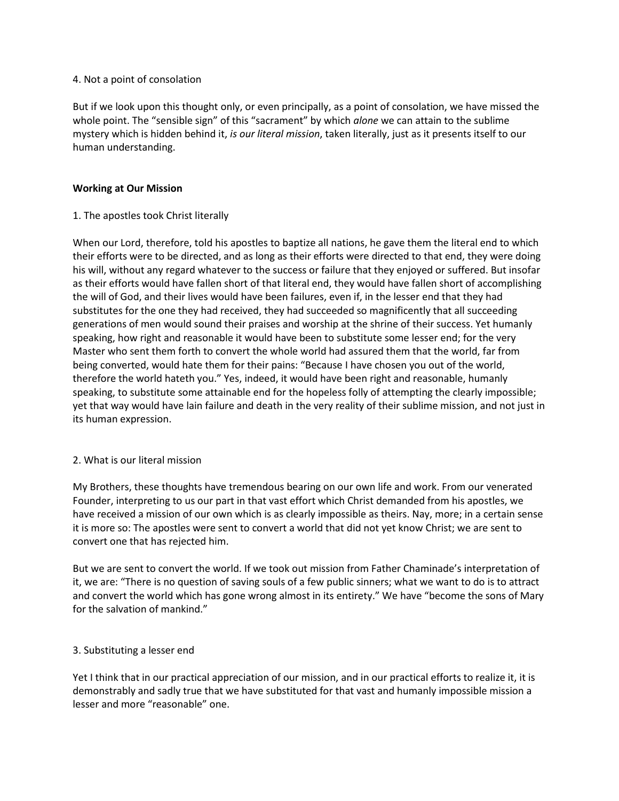#### 4. Not a point of consolation

But if we look upon this thought only, or even principally, as a point of consolation, we have missed the whole point. The "sensible sign" of this "sacrament" by which *alone* we can attain to the sublime mystery which is hidden behind it, *is our literal mission*, taken literally, just as it presents itself to our human understanding.

#### **Working at Our Mission**

# 1. The apostles took Christ literally

When our Lord, therefore, told his apostles to baptize all nations, he gave them the literal end to which their efforts were to be directed, and as long as their efforts were directed to that end, they were doing his will, without any regard whatever to the success or failure that they enjoyed or suffered. But insofar as their efforts would have fallen short of that literal end, they would have fallen short of accomplishing the will of God, and their lives would have been failures, even if, in the lesser end that they had substitutes for the one they had received, they had succeeded so magnificently that all succeeding generations of men would sound their praises and worship at the shrine of their success. Yet humanly speaking, how right and reasonable it would have been to substitute some lesser end; for the very Master who sent them forth to convert the whole world had assured them that the world, far from being converted, would hate them for their pains: "Because I have chosen you out of the world, therefore the world hateth you." Yes, indeed, it would have been right and reasonable, humanly speaking, to substitute some attainable end for the hopeless folly of attempting the clearly impossible; yet that way would have lain failure and death in the very reality of their sublime mission, and not just in its human expression.

# 2. What is our literal mission

My Brothers, these thoughts have tremendous bearing on our own life and work. From our venerated Founder, interpreting to us our part in that vast effort which Christ demanded from his apostles, we have received a mission of our own which is as clearly impossible as theirs. Nay, more; in a certain sense it is more so: The apostles were sent to convert a world that did not yet know Christ; we are sent to convert one that has rejected him.

But we are sent to convert the world. If we took out mission from Father Chaminade's interpretation of it, we are: "There is no question of saving souls of a few public sinners; what we want to do is to attract and convert the world which has gone wrong almost in its entirety." We have "become the sons of Mary for the salvation of mankind."

# 3. Substituting a lesser end

Yet I think that in our practical appreciation of our mission, and in our practical efforts to realize it, it is demonstrably and sadly true that we have substituted for that vast and humanly impossible mission a lesser and more "reasonable" one.